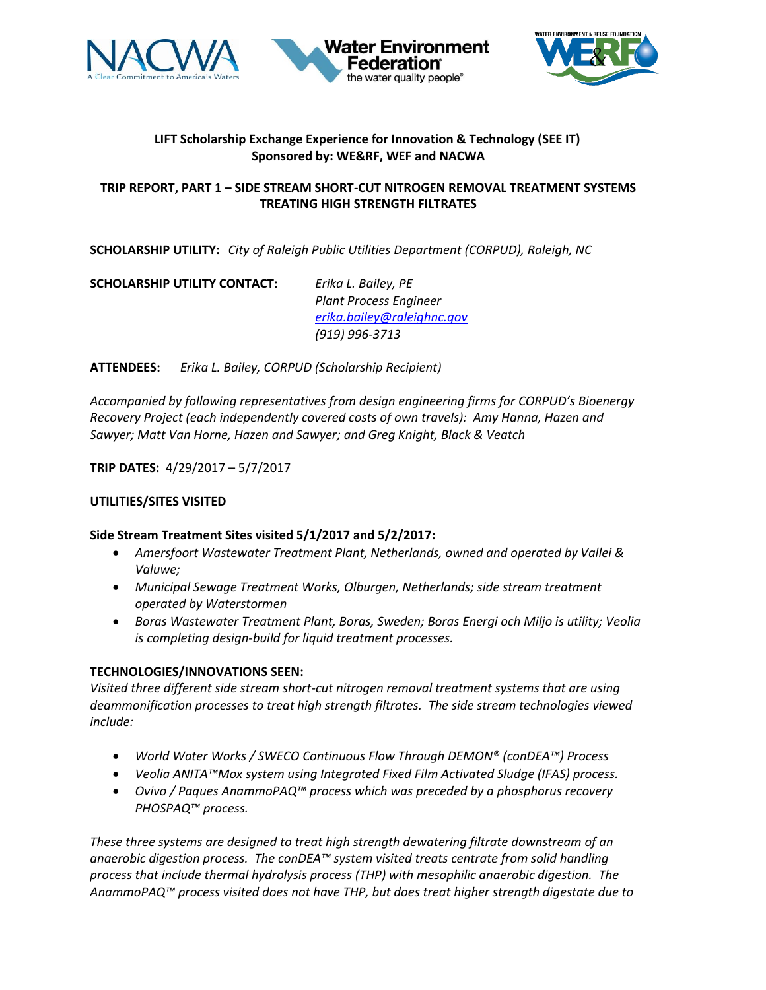





# **LIFT Scholarship Exchange Experience for Innovation & Technology (SEE IT) Sponsored by: WE&RF, WEF and NACWA**

## **TRIP REPORT, PART 1 – SIDE STREAM SHORT-CUT NITROGEN REMOVAL TREATMENT SYSTEMS TREATING HIGH STRENGTH FILTRATES**

**SCHOLARSHIP UTILITY:** *City of Raleigh Public Utilities Department (CORPUD), Raleigh, NC*

**SCHOLARSHIP UTILITY CONTACT:** *Erika L. Bailey, PE*

*Plant Process Engineer [erika.bailey@raleighnc.gov](mailto:erika.bailey@raleighnc.gov) (919) 996-3713*

**ATTENDEES:** *Erika L. Bailey, CORPUD (Scholarship Recipient)*

*Accompanied by following representatives from design engineering firms for CORPUD's Bioenergy Recovery Project (each independently covered costs of own travels): Amy Hanna, Hazen and Sawyer; Matt Van Horne, Hazen and Sawyer; and Greg Knight, Black & Veatch*

**TRIP DATES:** 4/29/2017 – 5/7/2017

## **UTILITIES/SITES VISITED**

### **Side Stream Treatment Sites visited 5/1/2017 and 5/2/2017:**

- *Amersfoort Wastewater Treatment Plant, Netherlands, owned and operated by Vallei & Valuwe;*
- *Municipal Sewage Treatment Works, Olburgen, Netherlands; side stream treatment operated by Waterstormen*
- *Boras Wastewater Treatment Plant, Boras, Sweden; Boras Energi och Miljo is utility; Veolia is completing design-build for liquid treatment processes.*

### **TECHNOLOGIES/INNOVATIONS SEEN:**

*Visited three different side stream short-cut nitrogen removal treatment systems that are using deammonification processes to treat high strength filtrates. The side stream technologies viewed include:* 

- *World Water Works / SWECO Continuous Flow Through DEMON® (conDEA™) Process*
- *Veolia ANITA™Mox system using Integrated Fixed Film Activated Sludge (IFAS) process.*
- *Ovivo / Paques AnammoPAQ™ process which was preceded by a phosphorus recovery PHOSPAQ™ process.*

*These three systems are designed to treat high strength dewatering filtrate downstream of an anaerobic digestion process. The conDEA™ system visited treats centrate from solid handling process that include thermal hydrolysis process (THP) with mesophilic anaerobic digestion. The AnammoPAQ™ process visited does not have THP, but does treat higher strength digestate due to*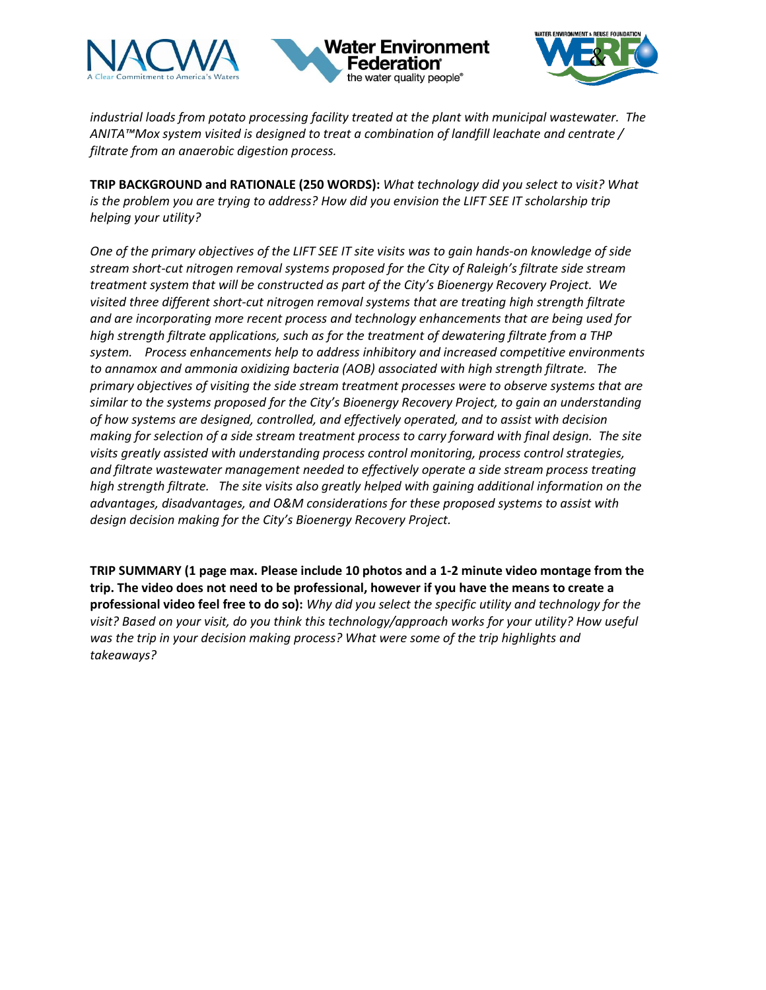





*industrial loads from potato processing facility treated at the plant with municipal wastewater. The ANITA™Mox system visited is designed to treat a combination of landfill leachate and centrate / filtrate from an anaerobic digestion process.*

**TRIP BACKGROUND and RATIONALE (250 WORDS):** *What technology did you select to visit? What is the problem you are trying to address? How did you envision the LIFT SEE IT scholarship trip helping your utility?* 

*One of the primary objectives of the LIFT SEE IT site visits was to gain hands-on knowledge of side stream short-cut nitrogen removal systems proposed for the City of Raleigh's filtrate side stream treatment system that will be constructed as part of the City's Bioenergy Recovery Project. We visited three different short-cut nitrogen removal systems that are treating high strength filtrate and are incorporating more recent process and technology enhancements that are being used for high strength filtrate applications, such as for the treatment of dewatering filtrate from a THP system. Process enhancements help to address inhibitory and increased competitive environments to annamox and ammonia oxidizing bacteria (AOB) associated with high strength filtrate. The primary objectives of visiting the side stream treatment processes were to observe systems that are similar to the systems proposed for the City's Bioenergy Recovery Project, to gain an understanding of how systems are designed, controlled, and effectively operated, and to assist with decision making for selection of a side stream treatment process to carry forward with final design. The site visits greatly assisted with understanding process control monitoring, process control strategies, and filtrate wastewater management needed to effectively operate a side stream process treating high strength filtrate. The site visits also greatly helped with gaining additional information on the advantages, disadvantages, and O&M considerations for these proposed systems to assist with design decision making for the City's Bioenergy Recovery Project.* 

**TRIP SUMMARY (1 page max. Please include 10 photos and a 1-2 minute video montage from the trip. The video does not need to be professional, however if you have the means to create a professional video feel free to do so):** *Why did you select the specific utility and technology for the visit? Based on your visit, do you think this technology/approach works for your utility? How useful was the trip in your decision making process? What were some of the trip highlights and takeaways?*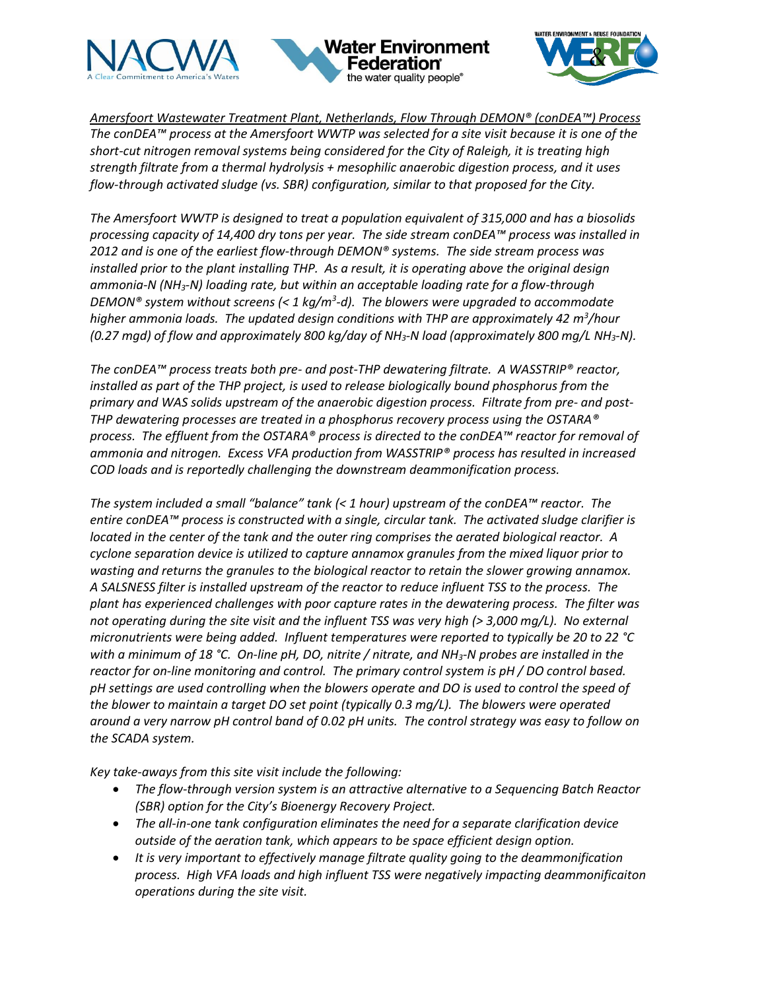





*Amersfoort Wastewater Treatment Plant, Netherlands, Flow Through DEMON® (conDEA™) Process The conDEA™ process at the Amersfoort WWTP was selected for a site visit because it is one of the short-cut nitrogen removal systems being considered for the City of Raleigh, it is treating high strength filtrate from a thermal hydrolysis + mesophilic anaerobic digestion process, and it uses flow-through activated sludge (vs. SBR) configuration, similar to that proposed for the City.* 

*The Amersfoort WWTP is designed to treat a population equivalent of 315,000 and has a biosolids processing capacity of 14,400 dry tons per year. The side stream conDEA™ process was installed in 2012 and is one of the earliest flow-through DEMON® systems. The side stream process was installed prior to the plant installing THP. As a result, it is operating above the original design ammonia-N (NH3-N) loading rate, but within an acceptable loading rate for a flow-through DEMON® system without screens (< 1 kg/m<sup>3</sup> -d). The blowers were upgraded to accommodate higher ammonia loads. The updated design conditions with THP are approximately 42 m<sup>3</sup> /hour (0.27 mgd) of flow and approximately 800 kg/day of NH3-N load (approximately 800 mg/L NH3-N).* 

*The conDEA™ process treats both pre- and post-THP dewatering filtrate. A WASSTRIP® reactor, installed as part of the THP project, is used to release biologically bound phosphorus from the primary and WAS solids upstream of the anaerobic digestion process. Filtrate from pre- and post-THP dewatering processes are treated in a phosphorus recovery process using the OSTARA® process. The effluent from the OSTARA® process is directed to the conDEA™ reactor for removal of ammonia and nitrogen. Excess VFA production from WASSTRIP® process has resulted in increased COD loads and is reportedly challenging the downstream deammonification process.* 

*The system included a small "balance" tank (< 1 hour) upstream of the conDEA™ reactor. The entire conDEA™ process is constructed with a single, circular tank. The activated sludge clarifier is located in the center of the tank and the outer ring comprises the aerated biological reactor. A cyclone separation device is utilized to capture annamox granules from the mixed liquor prior to wasting and returns the granules to the biological reactor to retain the slower growing annamox. A SALSNESS filter is installed upstream of the reactor to reduce influent TSS to the process. The plant has experienced challenges with poor capture rates in the dewatering process. The filter was not operating during the site visit and the influent TSS was very high (> 3,000 mg/L). No external micronutrients were being added. Influent temperatures were reported to typically be 20 to 22 °C with a minimum of 18 °C. On-line pH, DO, nitrite / nitrate, and NH3-N probes are installed in the reactor for on-line monitoring and control. The primary control system is pH / DO control based. pH settings are used controlling when the blowers operate and DO is used to control the speed of the blower to maintain a target DO set point (typically 0.3 mg/L). The blowers were operated around a very narrow pH control band of 0.02 pH units. The control strategy was easy to follow on the SCADA system.* 

*Key take-aways from this site visit include the following:*

- *The flow-through version system is an attractive alternative to a Sequencing Batch Reactor (SBR) option for the City's Bioenergy Recovery Project.*
- *The all-in-one tank configuration eliminates the need for a separate clarification device outside of the aeration tank, which appears to be space efficient design option.*
- *It is very important to effectively manage filtrate quality going to the deammonification process. High VFA loads and high influent TSS were negatively impacting deammonificaiton operations during the site visit.*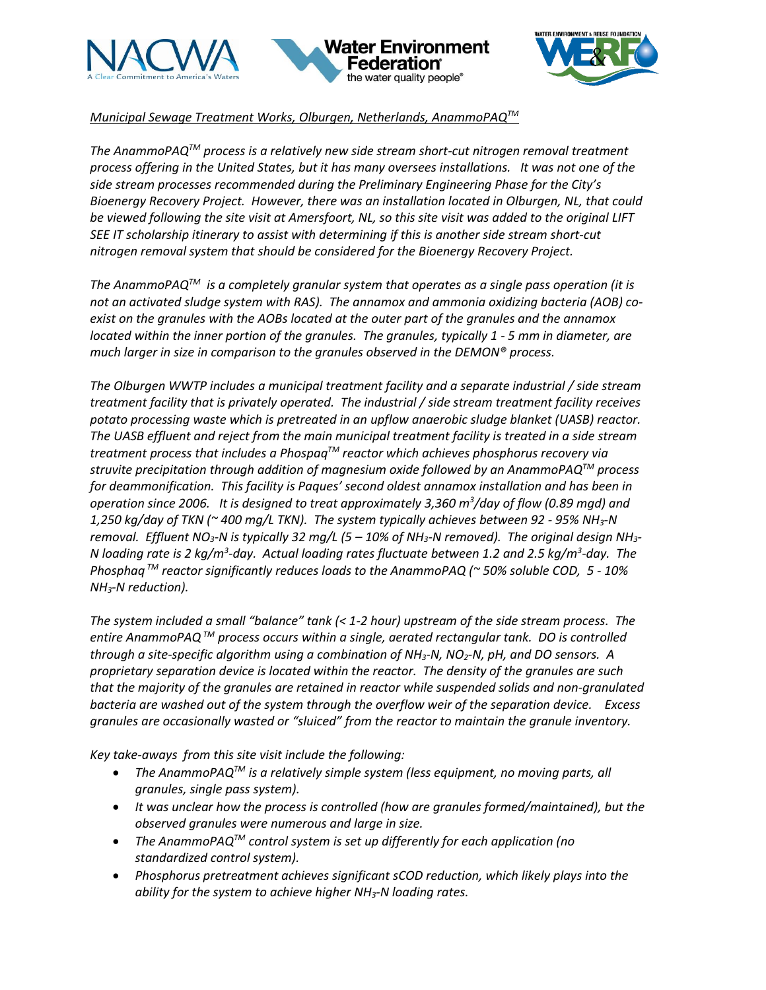





*Municipal Sewage Treatment Works, Olburgen, Netherlands, AnammoPAQTM*

*The AnammoPAQTM process is a relatively new side stream short-cut nitrogen removal treatment process offering in the United States, but it has many oversees installations. It was not one of the side stream processes recommended during the Preliminary Engineering Phase for the City's Bioenergy Recovery Project. However, there was an installation located in Olburgen, NL, that could be viewed following the site visit at Amersfoort, NL, so this site visit was added to the original LIFT SEE IT scholarship itinerary to assist with determining if this is another side stream short-cut nitrogen removal system that should be considered for the Bioenergy Recovery Project.* 

*The AnammoPAQTM is a completely granular system that operates as a single pass operation (it is not an activated sludge system with RAS). The annamox and ammonia oxidizing bacteria (AOB) coexist on the granules with the AOBs located at the outer part of the granules and the annamox located within the inner portion of the granules. The granules, typically 1 - 5 mm in diameter, are much larger in size in comparison to the granules observed in the DEMON® process.* 

*The Olburgen WWTP includes a municipal treatment facility and a separate industrial / side stream treatment facility that is privately operated. The industrial / side stream treatment facility receives potato processing waste which is pretreated in an upflow anaerobic sludge blanket (UASB) reactor. The UASB effluent and reject from the main municipal treatment facility is treated in a side stream treatment process that includes a PhospaqTM reactor which achieves phosphorus recovery via struvite precipitation through addition of magnesium oxide followed by an AnammoPAQTM process for deammonification. This facility is Paques' second oldest annamox installation and has been in operation since 2006. It is designed to treat approximately 3,360 m<sup>3</sup> /day of flow (0.89 mgd) and 1,250 kg/day of TKN (~ 400 mg/L TKN). The system typically achieves between 92 - 95% NH3-N removal. Effluent NO3-N is typically 32 mg/L (5 – 10% of NH3-N removed). The original design NH3- N loading rate is 2 kg/m<sup>3</sup> -day. Actual loading rates fluctuate between 1.2 and 2.5 kg/m<sup>3</sup> -day. The Phosphaq TM reactor significantly reduces loads to the AnammoPAQ (~ 50% soluble COD, 5 - 10% NH3-N reduction).* 

*The system included a small "balance" tank (< 1-2 hour) upstream of the side stream process. The entire AnammoPAQTM process occurs within a single, aerated rectangular tank. DO is controlled through a site-specific algorithm using a combination of NH3-N, NO2-N, pH, and DO sensors. A proprietary separation device is located within the reactor. The density of the granules are such that the majority of the granules are retained in reactor while suspended solids and non-granulated bacteria are washed out of the system through the overflow weir of the separation device. Excess granules are occasionally wasted or "sluiced" from the reactor to maintain the granule inventory.* 

*Key take-aways from this site visit include the following:*

- *The AnammoPAQTM is a relatively simple system (less equipment, no moving parts, all granules, single pass system).*
- *It was unclear how the process is controlled (how are granules formed/maintained), but the observed granules were numerous and large in size.*
- *The AnammoPAQTM control system is set up differently for each application (no standardized control system).*
- *Phosphorus pretreatment achieves significant sCOD reduction, which likely plays into the ability for the system to achieve higher NH3-N loading rates.*